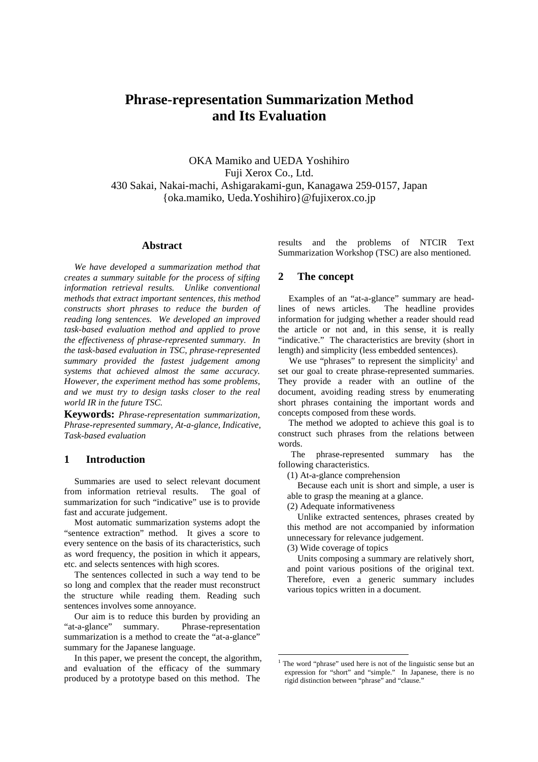# **Phrase-representation Summarization Method and Its Evaluation**

OKA Mamiko and UEDA Yoshihiro Fuji Xerox Co., Ltd. 430 Sakai, Nakai-machi, Ashigarakami-gun, Kanagawa 259-0157, Japan {oka.mamiko, Ueda.Yoshihiro}@fujixerox.co.jp

### **Abstract**

*We have developed a summarization method that creates a summary suitable for the process of sifting information retrieval results. Unlike conventional methods that extract important sentences, this method constructs short phrases to reduce the burden of reading long sentences. We developed an improved task-based evaluation method and applied to prove the effectiveness of phrase-represented summary. In the task-based evaluation in TSC, phrase-represented summary provided the fastest judgement among systems that achieved almost the same accuracy. However, the experiment method has some problems, and we must try to design tasks closer to the real world IR in the future TSC.*

**Keywords:** *Phrase-representation summarization, Phrase-represented summary, At-a-glance, Indicative, Task-based evaluation*

### **1 Introduction**

Summaries are used to select relevant document from information retrieval results. The goal of summarization for such "indicative" use is to provide fast and accurate judgement.

Most automatic summarization systems adopt the "sentence extraction" method. It gives a score to every sentence on the basis of its characteristics, such as word frequency, the position in which it appears, etc. and selects sentences with high scores.

The sentences collected in such a way tend to be so long and complex that the reader must reconstruct the structure while reading them. Reading such sentences involves some annoyance.

Our aim is to reduce this burden by providing an "at-a-glance" summary. Phrase-representation summarization is a method to create the "at-a-glance" summary for the Japanese language.

In this paper, we present the concept, the algorithm, and evaluation of the efficacy of the summary produced by a prototype based on this method. The results and the problems of NTCIR Text Summarization Workshop (TSC) are also mentioned.

### **2 The concept**

Examples of an "at-a-glance" summary are headlines of news articles. The headline provides information for judging whether a reader should read the article or not and, in this sense, it is really "indicative." The characteristics are brevity (short in length) and simplicity (less embedded sentences).

We use "phrases" to represent the simplicity<sup>1</sup> and set our goal to create phrase-represented summaries. They provide a reader with an outline of the document, avoiding reading stress by enumerating short phrases containing the important words and concepts composed from these words.

The method we adopted to achieve this goal is to construct such phrases from the relations between words.

The phrase-represented summary has the following characteristics.

(1) At-a-glance comprehension

Because each unit is short and simple, a user is able to grasp the meaning at a glance.

(2) Adequate informativeness

Unlike extracted sentences, phrases created by this method are not accompanied by information unnecessary for relevance judgement.

(3) Wide coverage of topics

l

Units composing a summary are relatively short, and point various positions of the original text. Therefore, even a generic summary includes various topics written in a document.

<sup>&</sup>lt;sup>1</sup> The word "phrase" used here is not of the linguistic sense but an expression for "short" and "simple." In Japanese, there is no rigid distinction between "phrase" and "clause."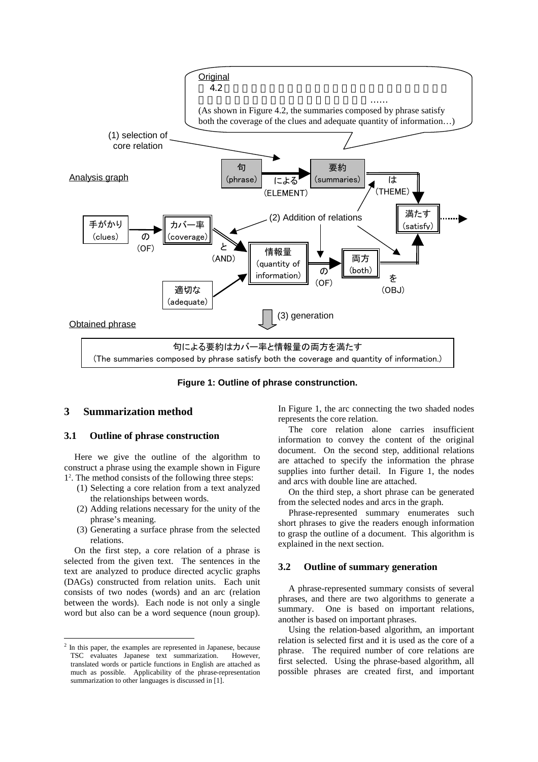

**Figure 1: Outline of phrase construnction.**

### **3 Summarization method**

### **3.1 Outline of phrase construction**

Here we give the outline of the algorithm to construct a phrase using the example shown in Figure 12 . The method consists of the following three steps:

- (1) Selecting a core relation from a text analyzed the relationships between words.
- (2) Adding relations necessary for the unity of the phrase's meaning.
- (3) Generating a surface phrase from the selected relations.

On the first step, a core relation of a phrase is selected from the given text. The sentences in the text are analyzed to produce directed acyclic graphs (DAGs) constructed from relation units. Each unit consists of two nodes (words) and an arc (relation between the words). Each node is not only a single word but also can be a word sequence (noun group).

 $\overline{a}$ 

In Figure 1, the arc connecting the two shaded nodes represents the core relation.

The core relation alone carries insufficient information to convey the content of the original document. On the second step, additional relations are attached to specify the information the phrase supplies into further detail. In Figure 1, the nodes and arcs with double line are attached.

On the third step, a short phrase can be generated from the selected nodes and arcs in the graph.

Phrase-represented summary enumerates such short phrases to give the readers enough information to grasp the outline of a document. This algorithm is explained in the next section.

#### **3.2 Outline of summary generation**

A phrase-represented summary consists of several phrases, and there are two algorithms to generate a summary. One is based on important relations, another is based on important phrases.

Using the relation-based algorithm, an important relation is selected first and it is used as the core of a phrase. The required number of core relations are first selected. Using the phrase-based algorithm, all possible phrases are created first, and important

<sup>&</sup>lt;sup>2</sup> In this paper, the examples are represented in Japanese, because TSC evaluates Japanese text summarization. However, translated words or particle functions in English are attached as much as possible. Applicability of the phrase-representation summarization to other languages is discussed in [1].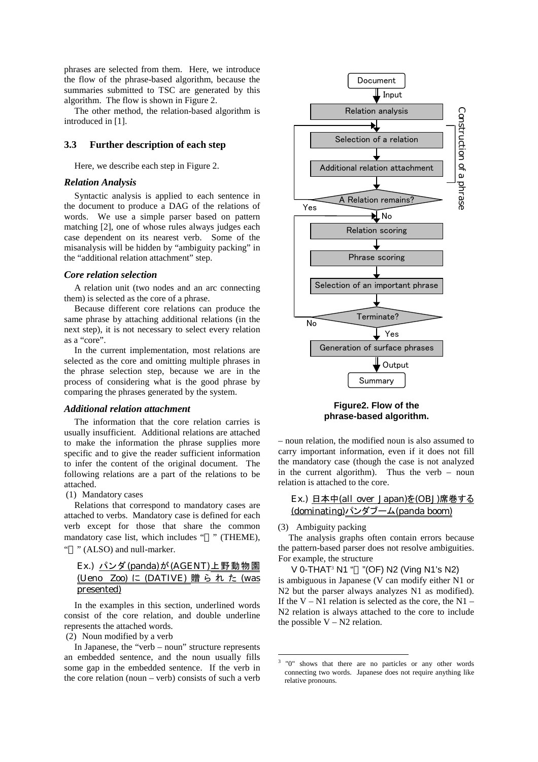phrases are selected from them. Here, we introduce the flow of the phrase-based algorithm, because the summaries submitted to TSC are generated by this algorithm. The flow is shown in Figure 2.

The other method, the relation-based algorithm is introduced in [1].

### **3.3 Further description of each step**

Here, we describe each step in Figure 2.

### *Relation Analysis*

Syntactic analysis is applied to each sentence in the document to produce a DAG of the relations of words. We use a simple parser based on pattern matching [2], one of whose rules always judges each case dependent on its nearest verb. Some of the misanalysis will be hidden by "ambiguity packing" in the "additional relation attachment" step.

#### *Core relation selection*

A relation unit (two nodes and an arc connecting them) is selected as the core of a phrase.

Because different core relations can produce the same phrase by attaching additional relations (in the next step), it is not necessary to select every relation as a "core".

In the current implementation, most relations are selected as the core and omitting multiple phrases in the phrase selection step, because we are in the process of considering what is the good phrase by comparing the phrases generated by the system.

#### *Additional relation attachment*

The information that the core relation carries is usually insufficient. Additional relations are attached to make the information the phrase supplies more specific and to give the reader sufficient information to infer the content of the original document. The following relations are a part of the relations to be attached.

(1) Mandatory cases

Relations that correspond to mandatory cases are attached to verbs. Mandatory case is defined for each verb except for those that share the common mandatory case list, which includes " " (THEME), " " (ALSO) and null-marker.

### Ex.) パンダ(panda)が(AGENT)上野動物園 (Ueno Zoo) に (DATIVE) 贈られた (was presented)

In the examples in this section, underlined words consist of the core relation, and double underline represents the attached words.

(2) Noun modified by a verb

In Japanese, the "verb – noun" structure represents an embedded sentence, and the noun usually fills some gap in the embedded sentence. If the verb in the core relation (noun – verb) consists of such a verb



### **Figure2. Flow of the phrase-based algorithm.**

– noun relation, the modified noun is also assumed to carry important information, even if it does not fill the mandatory case (though the case is not analyzed in the current algorithm). Thus the verb – noun relation is attached to the core.

Ex.) 日本中(all over Japan)を(OBJ)席巻する (dominating)パンダブーム(panda boom)

(3) Ambiguity packing

l

The analysis graphs often contain errors because the pattern-based parser does not resolve ambiguities. For example, the structure

V 0-THAT<sup>3</sup> N1 " " (OF) N2 (Ving N1's N2) is ambiguous in Japanese (V can modify either N1 or N2 but the parser always analyzes N1 as modified). If the V – N1 relation is selected as the core, the N1 – N2 relation is always attached to the core to include the possible  $V - N2$  relation.

<sup>&</sup>lt;sup>3</sup> "0" shows that there are no particles or any other words connecting two words. Japanese does not require anything like relative pronouns.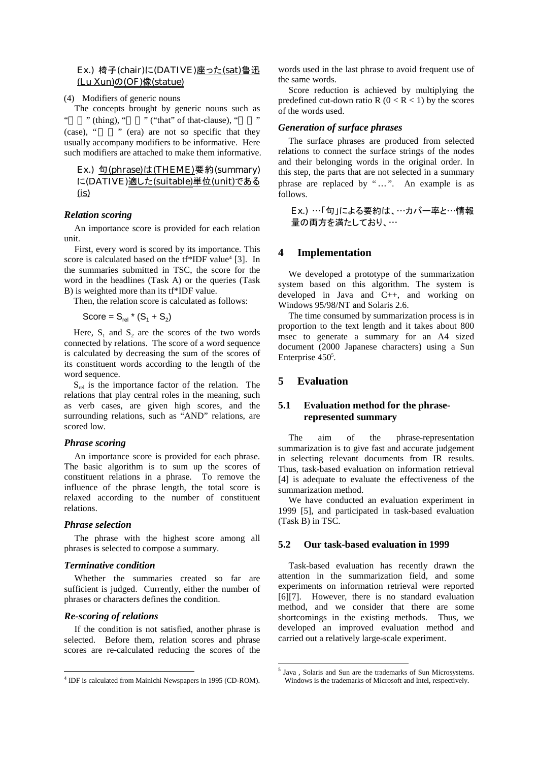### Ex.) 椅子(chair)に(DATIVE)座った(sat)魯迅 (Lu Xun)の(OF)像(statue)

(4) Modifiers of generic nouns

The concepts brought by generic nouns such as " (thing), " $\cdots$ " ("that" of that-clause), " (case), "" (era) are not so specific that they

usually accompany modifiers to be informative. Here such modifiers are attached to make them informative.

### Ex.) 句(phrase)は(THEME)要約(summary) に(DATIVE)適した(suitable)単位(unit)である  $(i<sub>s</sub>)$

#### *Relation scoring*

An importance score is provided for each relation unit.

First, every word is scored by its importance. This score is calculated based on the tf\*IDF value<sup>4</sup> [3]. In the summaries submitted in TSC, the score for the word in the headlines (Task A) or the queries (Task B) is weighted more than its tf\*IDF value.

Then, the relation score is calculated as follows:

Score =  $S_{rel}$  \*  $(S_1 + S_2)$ 

Here,  $S_1$  and  $S_2$  are the scores of the two words connected by relations. The score of a word sequence is calculated by decreasing the sum of the scores of its constituent words according to the length of the word sequence.

 $S_{rel}$  is the importance factor of the relation. The relations that play central roles in the meaning, such as verb cases, are given high scores, and the surrounding relations, such as "AND" relations, are scored low.

#### *Phrase scoring*

An importance score is provided for each phrase. The basic algorithm is to sum up the scores of constituent relations in a phrase. To remove the influence of the phrase length, the total score is relaxed according to the number of constituent relations.

#### *Phrase selection*

The phrase with the highest score among all phrases is selected to compose a summary.

#### *Terminative condition*

Whether the summaries created so far are sufficient is judged. Currently, either the number of phrases or characters defines the condition.

#### *Re-scoring of relations*

 $\overline{a}$ 

If the condition is not satisfied, another phrase is selected. Before them, relation scores and phrase scores are re-calculated reducing the scores of the words used in the last phrase to avoid frequent use of the same words.

Score reduction is achieved by multiplying the predefined cut-down ratio R ( $0 < R < 1$ ) by the scores of the words used.

#### *Generation of surface phrases*

The surface phrases are produced from selected relations to connect the surface strings of the nodes and their belonging words in the original order. In this step, the parts that are not selected in a summary phrase are replaced by "…". An example is as follows.

Ex.) …「句」による要約は、…カバー率と…情報 量の両方を満たしており、…

### **4 Implementation**

We developed a prototype of the summarization system based on this algorithm. The system is developed in Java and C++, and working on Windows 95/98/NT and Solaris 2.6.

The time consumed by summarization process is in proportion to the text length and it takes about 800 msec to generate a summary for an A4 sized document (2000 Japanese characters) using a Sun Enterprise 450<sup>5</sup>.

### **5 Evaluation**

l

### **5.1 Evaluation method for the phraserepresented summary**

The aim of the phrase-representation summarization is to give fast and accurate judgement in selecting relevant documents from IR results. Thus, task-based evaluation on information retrieval [4] is adequate to evaluate the effectiveness of the summarization method.

We have conducted an evaluation experiment in 1999 [5], and participated in task-based evaluation (Task B) in TSC.

#### **5.2 Our task-based evaluation in 1999**

Task-based evaluation has recently drawn the attention in the summarization field, and some experiments on information retrieval were reported [6][7]. However, there is no standard evaluation method, and we consider that there are some shortcomings in the existing methods. Thus, we developed an improved evaluation method and carried out a relatively large-scale experiment.

<sup>&</sup>lt;sup>4</sup> IDF is calculated from Mainichi Newspapers in 1995 (CD-ROM).

<sup>5</sup> Java , Solaris and Sun are the trademarks of Sun Microsystems. Windows is the trademarks of Microsoft and Intel, respectively.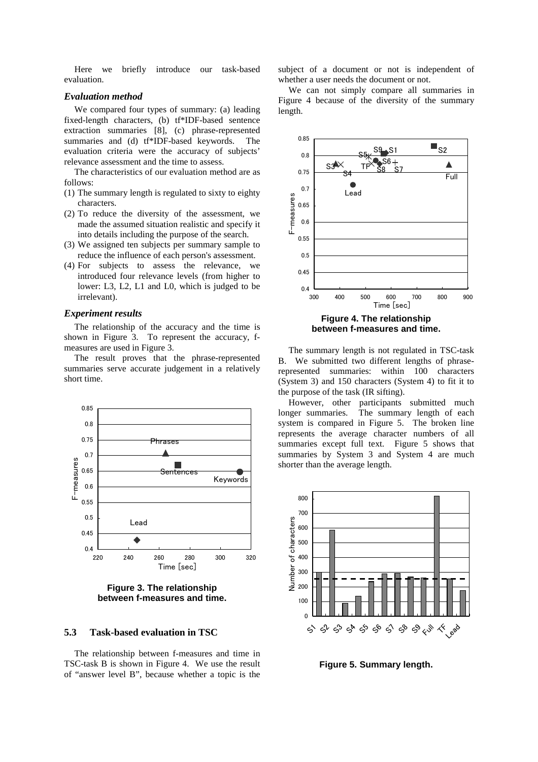Here we briefly introduce our task-based evaluation.

#### *Evaluation method*

We compared four types of summary: (a) leading fixed-length characters, (b) tf\*IDF-based sentence extraction summaries [8], (c) phrase-represented summaries and (d) tf\*IDF-based keywords. The evaluation criteria were the accuracy of subjects' relevance assessment and the time to assess.

The characteristics of our evaluation method are as follows:

- (1) The summary length is regulated to sixty to eighty characters.
- (2) To reduce the diversity of the assessment, we made the assumed situation realistic and specify it into details including the purpose of the search.
- (3) We assigned ten subjects per summary sample to reduce the influence of each person's assessment.
- (4) For subjects to assess the relevance, we introduced four relevance levels (from higher to lower: L3, L2, L1 and L0, which is judged to be irrelevant).

#### *Experiment results*

The relationship of the accuracy and the time is shown in Figure 3. To represent the accuracy, fmeasures are used in Figure 3.

The result proves that the phrase-represented summaries serve accurate judgement in a relatively short time.



**Figure 3. The relationship between f-measures and time.**

### **5.3 Task-based evaluation in TSC**

The relationship between f-measures and time in TSC-task B is shown in Figure 4. We use the result of "answer level B", because whether a topic is the

subject of a document or not is independent of whether a user needs the document or not.

We can not simply compare all summaries in Figure 4 because of the diversity of the summary length.



The summary length is not regulated in TSC-task B. We submitted two different lengths of phraserepresented summaries: within 100 characters (System 3) and 150 characters (System 4) to fit it to the purpose of the task (IR sifting).

However, other participants submitted much longer summaries. The summary length of each system is compared in Figure 5. The broken line represents the average character numbers of all summaries except full text. Figure 5 shows that summaries by System 3 and System 4 are much shorter than the average length.



**Figure 5. Summary length.**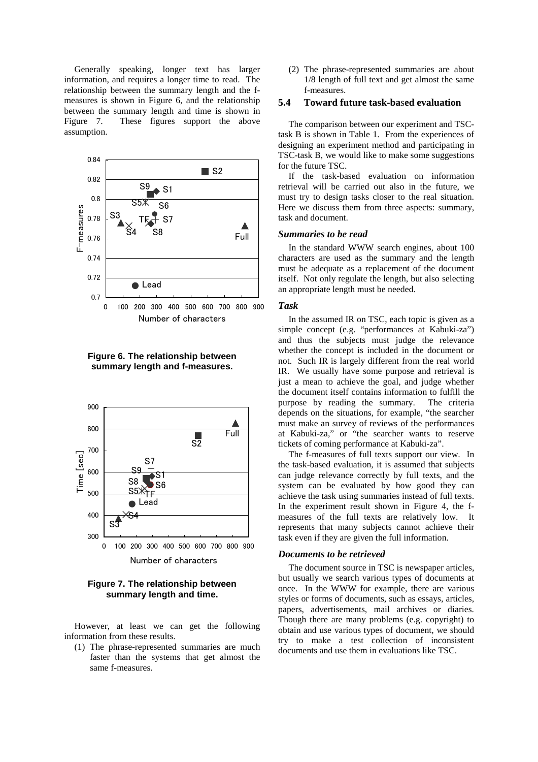Generally speaking, longer text has larger information, and requires a longer time to read. The relationship between the summary length and the fmeasures is shown in Figure 6, and the relationship between the summary length and time is shown in Figure 7. These figures support the above assumption.



**Figure 6. The relationship between summary length and f-measures.**



**Figure 7. The relationship between summary length and time.**

However, at least we can get the following information from these results.

(1) The phrase-represented summaries are much faster than the systems that get almost the same f-measures.

(2) The phrase-represented summaries are about 1/8 length of full text and get almost the same f-measures.

### **5.4 Toward future task-ba**s**ed evaluation**

The comparison between our experiment and TSCtask B is shown in Table 1. From the experiences of designing an experiment method and participating in TSC-task B, we would like to make some suggestions for the future TSC.

If the task-based evaluation on information retrieval will be carried out also in the future, we must try to design tasks closer to the real situation. Here we discuss them from three aspects: summary, task and document.

#### *Summaries to be read*

In the standard WWW search engines, about 100 characters are used as the summary and the length must be adequate as a replacement of the document itself. Not only regulate the length, but also selecting an appropriate length must be needed.

#### *Task*

In the assumed IR on TSC, each topic is given as a simple concept (e.g. "performances at Kabuki-za") and thus the subjects must judge the relevance whether the concept is included in the document or not. Such IR is largely different from the real world IR. We usually have some purpose and retrieval is just a mean to achieve the goal, and judge whether the document itself contains information to fulfill the purpose by reading the summary. The criteria depends on the situations, for example, "the searcher must make an survey of reviews of the performances at Kabuki-za," or "the searcher wants to reserve tickets of coming performance at Kabuki-za".

The f-measures of full texts support our view. In the task-based evaluation, it is assumed that subjects can judge relevance correctly by full texts, and the system can be evaluated by how good they can achieve the task using summaries instead of full texts. In the experiment result shown in Figure 4, the fmeasures of the full texts are relatively low. It represents that many subjects cannot achieve their task even if they are given the full information.

#### *Documents to be retrieved*

The document source in TSC is newspaper articles, but usually we search various types of documents at once. In the WWW for example, there are various styles or forms of documents, such as essays, articles, papers, advertisements, mail archives or diaries. Though there are many problems (e.g. copyright) to obtain and use various types of document, we should try to make a test collection of inconsistent documents and use them in evaluations like TSC.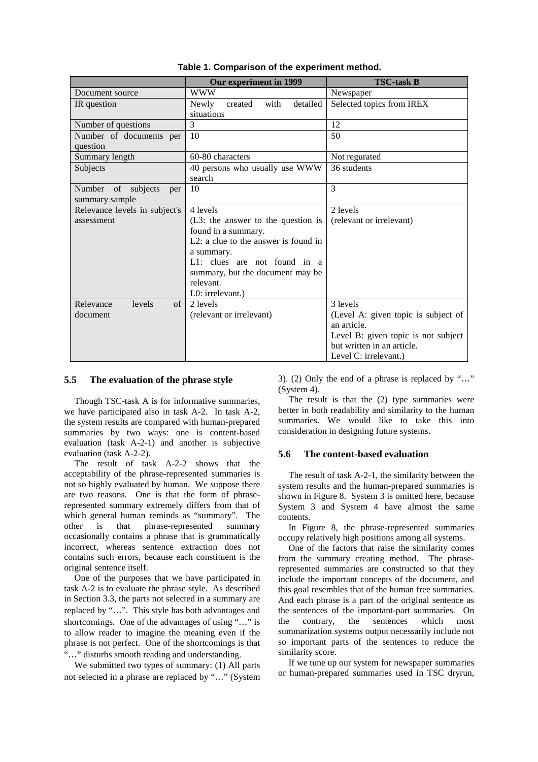|                                   | Our experiment in 1999               | <b>TSC-task B</b>                   |
|-----------------------------------|--------------------------------------|-------------------------------------|
| Document source                   | <b>WWW</b>                           | Newspaper                           |
| IR question                       | detailed<br>with<br>Newly<br>created | Selected topics from IREX           |
|                                   | situations                           |                                     |
| Number of questions               | 3                                    | 12                                  |
| Number of documents per           | 10                                   | 50                                  |
| question                          |                                      |                                     |
| Summary length                    | 60-80 characters                     | Not regurated                       |
| Subjects                          | 40 persons who usually use WWW       | 36 students                         |
|                                   | search                               |                                     |
| subjects<br>Number<br>of<br>per   | 10                                   | 3                                   |
| summary sample                    |                                      |                                     |
| Relevance levels in subject's     | 4 levels                             | 2 levels                            |
| assessment                        | $(L3:$ the answer to the question is | (relevant or irrelevant)            |
|                                   | found in a summary.                  |                                     |
|                                   | L2: a clue to the answer is found in |                                     |
|                                   | a summary.                           |                                     |
|                                   | $L1$ : clues are not found in a      |                                     |
|                                   | summary, but the document may be     |                                     |
|                                   | relevant.                            |                                     |
|                                   | L0: irrelevant.)                     |                                     |
| $\sigma$ f<br>Relevance<br>levels | 2 levels                             | 3 levels                            |
| document                          | (relevant or irrelevant)             | (Level A: given topic is subject of |
|                                   |                                      | an article.                         |
|                                   |                                      | Level B: given topic is not subject |
|                                   |                                      | but written in an article.          |
|                                   |                                      | Level C: irrelevant.)               |

## **Table 1. Comparison of the experiment method.**

### **5.5 The evaluation of the phrase style**

Though TSC-task A is for informative summaries, we have participated also in task A-2. In task A-2, the system results are compared with human-prepared summaries by two ways: one is content-based evaluation (task A-2-1) and another is subjective evaluation (task A-2-2).

The result of task A-2-2 shows that the acceptability of the phrase-represented summaries is not so highly evaluated by human. We suppose there are two reasons. One is that the form of phraserepresented summary extremely differs from that of which general human reminds as "summary". The other is that phrase-represented summary occasionally contains a phrase that is grammatically incorrect, whereas sentence extraction does not contains such errors, because each constituent is the original sentence itself.

One of the purposes that we have participated in task A-2 is to evaluate the phrase style. As described in Section 3.3, the parts not selected in a summary are replaced by "…". This style has both advantages and shortcomings. One of the advantages of using "…" is to allow reader to imagine the meaning even if the phrase is not perfect. One of the shortcomings is that "…" disturbs smooth reading and understanding.

We submitted two types of summary: (1) All parts not selected in a phrase are replaced by "…" (System 3). (2) Only the end of a phrase is replaced by "…" (System 4).

The result is that the (2) type summaries were better in both readability and similarity to the human summaries. We would like to take this into consideration in designing future systems.

#### **5.6 The content-based evaluation**

The result of task A-2-1, the similarity between the system results and the human-prepared summaries is shown in Figure 8. System 3 is omitted here, because System 3 and System 4 have almost the same contents.

In Figure 8, the phrase-represented summaries occupy relatively high positions among all systems.

One of the factors that raise the similarity comes from the summary creating method. The phraserepresented summaries are constructed so that they include the important concepts of the document, and this goal resembles that of the human free summaries. And each phrase is a part of the original sentence as the sentences of the important-part summaries. On the contrary, the sentences which most summarization systems output necessarily include not so important parts of the sentences to reduce the similarity score.

If we tune up our system for newspaper summaries or human-prepared summaries used in TSC dryrun,